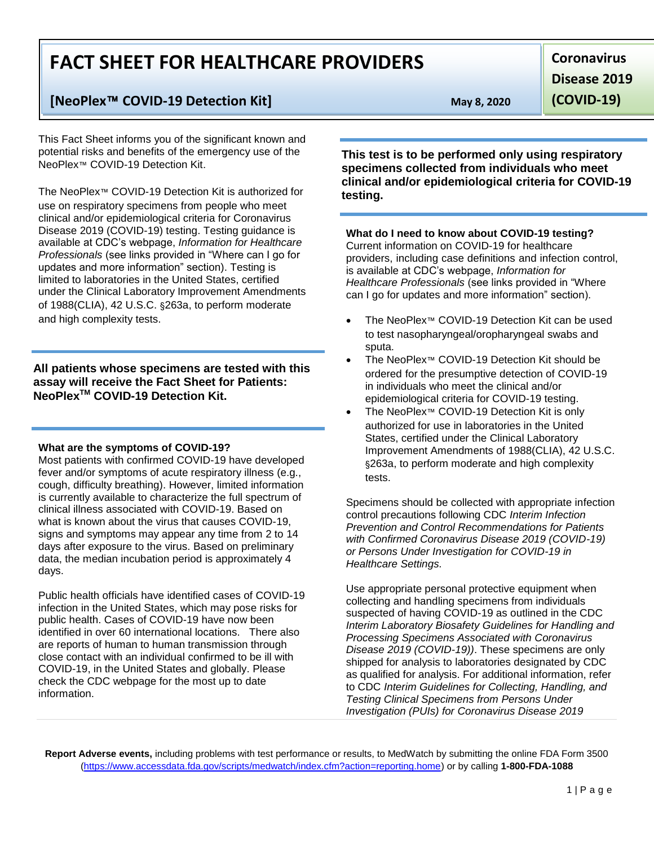# **FACT SHEET FOR HEALTHCARE PROVIDERS**

# **[NeoPlex**™ **COVID-19 Detection Kit] May 8, 2020**

This Fact Sheet informs you of the significant known and potential risks and benefits of the emergency use of the NeoPlex™ COVID-19 Detection Kit.

The NeoPlex™ COVID-19 Detection Kit is authorized for use on respiratory specimens from people who meet clinical and/or epidemiological criteria for Coronavirus Disease 2019 (COVID-19) testing. Testing guidance is available at CDC's webpage, *Information for Healthcare Professionals* (see links provided in "Where can I go for updates and more information" section). Testing is limited to laboratories in the United States, certified under the Clinical Laboratory Improvement Amendments of 1988(CLIA), 42 U.S.C. §263a, to perform moderate and high complexity tests.

**All patients whose specimens are tested with this assay will receive the Fact Sheet for Patients: NeoPlexTM COVID-19 Detection Kit.**

#### **What are the symptoms of COVID-19?**

Most patients with confirmed COVID-19 have developed fever and/or symptoms of acute respiratory illness (e.g., cough, difficulty breathing). However, limited information is currently available to characterize the full spectrum of clinical illness associated with COVID-19. Based on what is known about the virus that causes COVID-19, signs and symptoms may appear any time from 2 to 14 days after exposure to the virus. Based on preliminary data, the median incubation period is approximately 4 days.

Public health officials have identified cases of COVID-19 infection in the United States, which may pose risks for public health. Cases of COVID-19 have now been identified in over 60 international locations. There also are reports of human to human transmission through close contact with an individual confirmed to be ill with COVID-19, in the United States and globally. Please check the CDC webpage for the most up to date information.

**Coronavirus Disease 2019** 

**(COVID-19)**

**This test is to be performed only using respiratory specimens collected from individuals who meet clinical and/or epidemiological criteria for COVID-19 testing.** 

## **What do I need to know about COVID-19 testing?**

Current information on COVID-19 for healthcare providers, including case definitions and infection control, is available at CDC's webpage, *Information for Healthcare Professionals* (see links provided in "Where can I go for updates and more information" section).

- The NeoPlex™ COVID-19 Detection Kit can be used to test nasopharyngeal/oropharyngeal swabs and sputa.
- The NeoPlex™ COVID-19 Detection Kit should be ordered for the presumptive detection of COVID-19 in individuals who meet the clinical and/or epidemiological criteria for COVID-19 testing.
- The NeoPlex™ COVID-19 Detection Kit is only authorized for use in laboratories in the United States, certified under the Clinical Laboratory Improvement Amendments of 1988(CLIA), 42 U.S.C. §263a, to perform moderate and high complexity tests.

Specimens should be collected with appropriate infection control precautions following CDC *Interim Infection Prevention and Control Recommendations for Patients with Confirmed Coronavirus Disease 2019 (COVID-19) or Persons Under Investigation for COVID-19 in Healthcare Settings.*

Use appropriate personal protective equipment when collecting and handling specimens from individuals suspected of having COVID-19 as outlined in the CDC *Interim Laboratory Biosafety Guidelines for Handling and Processing Specimens Associated with Coronavirus Disease 2019 (COVID-19))*. These specimens are only shipped for analysis to laboratories designated by CDC as qualified for analysis. For additional information, refer to CDC *Interim Guidelines for Collecting, Handling, and Testing Clinical Specimens from Persons Under Investigation (PUIs) for Coronavirus Disease 2019*

**Report Adverse events,** including problems with test performance or results, to MedWatch by submitting the online FDA Form 3500 (https://www.accessdata.fda.gov/scripts/medwatch/index.cfm?action=reporting.home) or by calling **1-800-FDA-1088**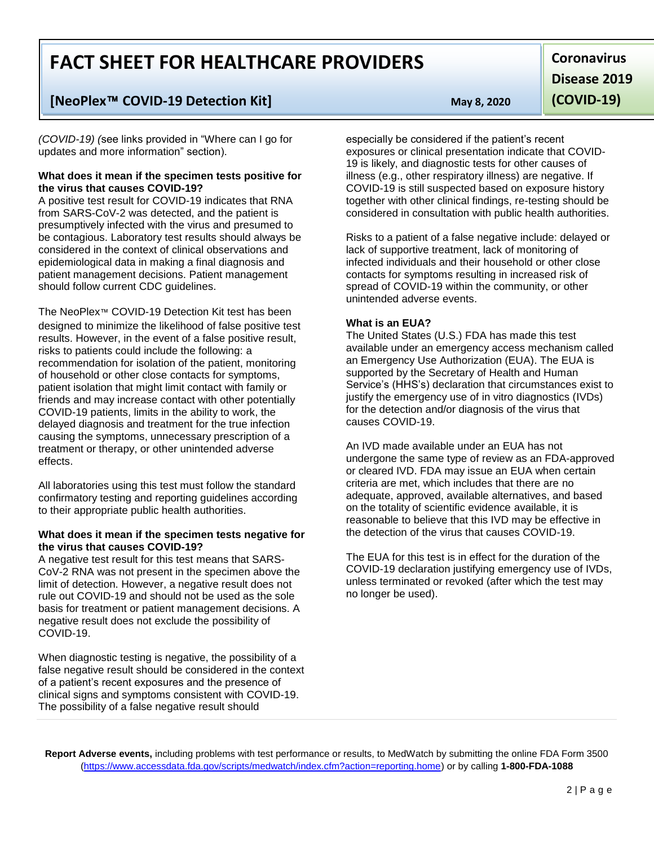# **FACT SHEET FOR HEALTHCARE PROVIDERS**

## **[NeoPlex**™ **COVID-19 Detection Kit] May 8, 2020**

*(COVID-19) (*see links provided in "Where can I go for updates and more information" section).

#### **What does it mean if the specimen tests positive for the virus that causes COVID-19?**

A positive test result for COVID-19 indicates that RNA from SARS-CoV-2 was detected, and the patient is presumptively infected with the virus and presumed to be contagious. Laboratory test results should always be considered in the context of clinical observations and epidemiological data in making a final diagnosis and patient management decisions. Patient management should follow current CDC guidelines.

The NeoPlex™ COVID-19 Detection Kit test has been designed to minimize the likelihood of false positive test results. However, in the event of a false positive result, risks to patients could include the following: a recommendation for isolation of the patient, monitoring of household or other close contacts for symptoms, patient isolation that might limit contact with family or friends and may increase contact with other potentially COVID-19 patients, limits in the ability to work, the delayed diagnosis and treatment for the true infection causing the symptoms, unnecessary prescription of a treatment or therapy, or other unintended adverse effects.

All laboratories using this test must follow the standard confirmatory testing and reporting guidelines according to their appropriate public health authorities.

#### **What does it mean if the specimen tests negative for the virus that causes COVID-19?**

A negative test result for this test means that SARS-CoV-2 RNA was not present in the specimen above the limit of detection. However, a negative result does not rule out COVID-19 and should not be used as the sole basis for treatment or patient management decisions. A negative result does not exclude the possibility of COVID-19.

When diagnostic testing is negative, the possibility of a false negative result should be considered in the context of a patient's recent exposures and the presence of clinical signs and symptoms consistent with COVID-19. The possibility of a false negative result should

**Coronavirus Disease 2019 (COVID-19)**

especially be considered if the patient's recent exposures or clinical presentation indicate that COVID-19 is likely, and diagnostic tests for other causes of illness (e.g., other respiratory illness) are negative. If COVID-19 is still suspected based on exposure history together with other clinical findings, re-testing should be considered in consultation with public health authorities.

Risks to a patient of a false negative include: delayed or lack of supportive treatment, lack of monitoring of infected individuals and their household or other close contacts for symptoms resulting in increased risk of spread of COVID-19 within the community, or other unintended adverse events.

### **What is an EUA?**

The United States (U.S.) FDA has made this test available under an emergency access mechanism called an Emergency Use Authorization (EUA). The EUA is supported by the Secretary of Health and Human Service's (HHS's) declaration that circumstances exist to justify the emergency use of in vitro diagnostics (IVDs) for the detection and/or diagnosis of the virus that causes COVID-19.

An IVD made available under an EUA has not undergone the same type of review as an FDA-approved or cleared IVD. FDA may issue an EUA when certain criteria are met, which includes that there are no adequate, approved, available alternatives, and based on the totality of scientific evidence available, it is reasonable to believe that this IVD may be effective in the detection of the virus that causes COVID-19.

The EUA for this test is in effect for the duration of the COVID-19 declaration justifying emergency use of IVDs, unless terminated or revoked (after which the test may no longer be used).

**Report Adverse events,** including problems with test performance or results, to MedWatch by submitting the online FDA Form 3500 (https://www.accessdata.fda.gov/scripts/medwatch/index.cfm?action=reporting.home) or by calling **1-800-FDA-1088**